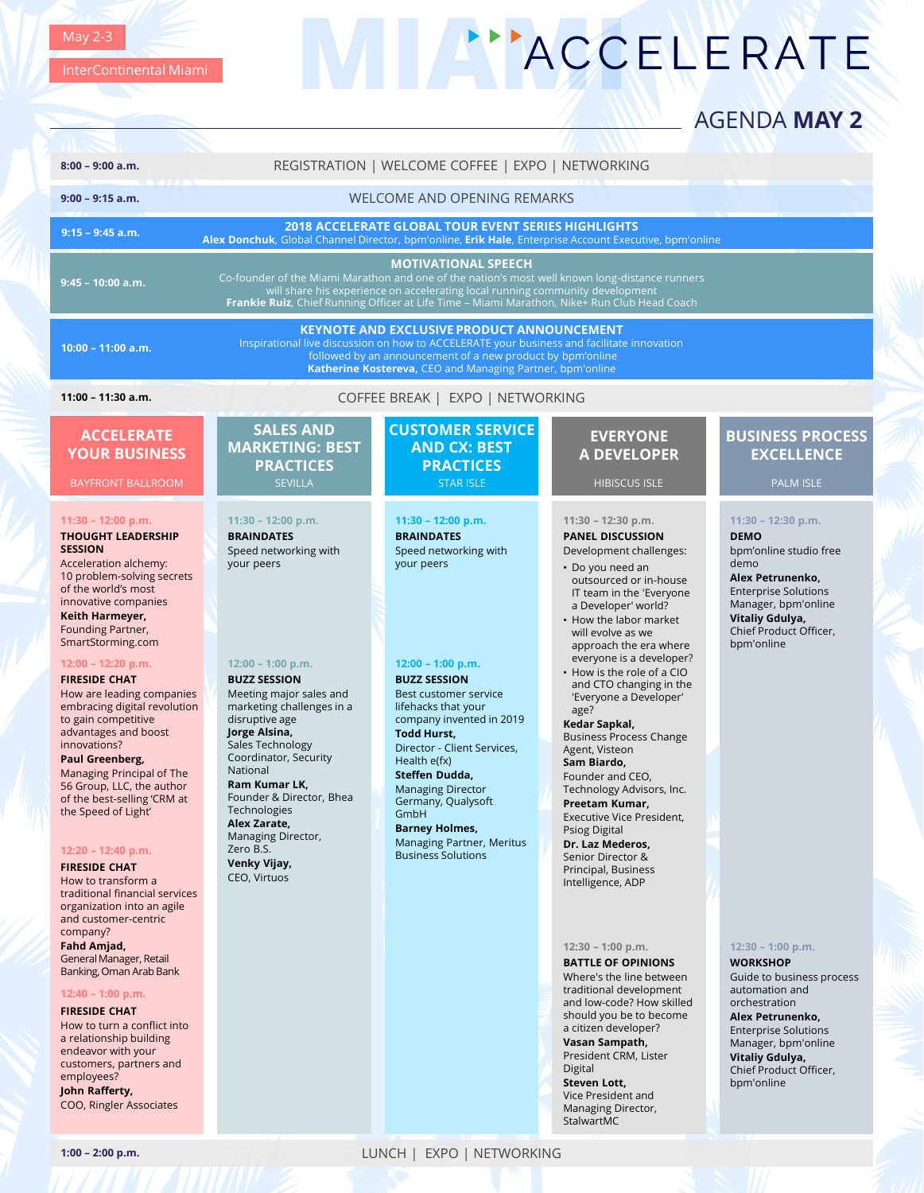# ACCELERATE

|                                                                                                                                                                                                                                                                                                                                                                                                                                                                                                                                                                                                                                                                                                                 |                                                                                                                                                                                                                                                                                                                                                                                                                                    |                                                                                                                                                                                                                                                                                                                                                                                                                                                |                                                                                                                                                                                                                                                                                                                                                                                                                                                                                                                                                                                                                                                                              | <b>AGENDA MAY 2</b>                                                                                                                                                                                                                         |  |
|-----------------------------------------------------------------------------------------------------------------------------------------------------------------------------------------------------------------------------------------------------------------------------------------------------------------------------------------------------------------------------------------------------------------------------------------------------------------------------------------------------------------------------------------------------------------------------------------------------------------------------------------------------------------------------------------------------------------|------------------------------------------------------------------------------------------------------------------------------------------------------------------------------------------------------------------------------------------------------------------------------------------------------------------------------------------------------------------------------------------------------------------------------------|------------------------------------------------------------------------------------------------------------------------------------------------------------------------------------------------------------------------------------------------------------------------------------------------------------------------------------------------------------------------------------------------------------------------------------------------|------------------------------------------------------------------------------------------------------------------------------------------------------------------------------------------------------------------------------------------------------------------------------------------------------------------------------------------------------------------------------------------------------------------------------------------------------------------------------------------------------------------------------------------------------------------------------------------------------------------------------------------------------------------------------|---------------------------------------------------------------------------------------------------------------------------------------------------------------------------------------------------------------------------------------------|--|
| $8:00 - 9:00$ a.m.                                                                                                                                                                                                                                                                                                                                                                                                                                                                                                                                                                                                                                                                                              |                                                                                                                                                                                                                                                                                                                                                                                                                                    | REGISTRATION   WELCOME COFFEE   EXPO   NETWORKING                                                                                                                                                                                                                                                                                                                                                                                              |                                                                                                                                                                                                                                                                                                                                                                                                                                                                                                                                                                                                                                                                              |                                                                                                                                                                                                                                             |  |
| $9:00 - 9:15$ a.m.                                                                                                                                                                                                                                                                                                                                                                                                                                                                                                                                                                                                                                                                                              | <b>WELCOME AND OPENING REMARKS</b>                                                                                                                                                                                                                                                                                                                                                                                                 |                                                                                                                                                                                                                                                                                                                                                                                                                                                |                                                                                                                                                                                                                                                                                                                                                                                                                                                                                                                                                                                                                                                                              |                                                                                                                                                                                                                                             |  |
| $9:15 - 9:45$ a.m.                                                                                                                                                                                                                                                                                                                                                                                                                                                                                                                                                                                                                                                                                              |                                                                                                                                                                                                                                                                                                                                                                                                                                    | <b>2018 ACCELERATE GLOBAL TOUR EVENT SERIES HIGHLIGHTS</b>                                                                                                                                                                                                                                                                                                                                                                                     |                                                                                                                                                                                                                                                                                                                                                                                                                                                                                                                                                                                                                                                                              |                                                                                                                                                                                                                                             |  |
| $9:45 - 10:00$ a.m.                                                                                                                                                                                                                                                                                                                                                                                                                                                                                                                                                                                                                                                                                             | Alex Donchuk, Global Channel Director, bpm'online, Erik Hale, Enterprise Account Executive, bpm'online<br><b>MOTIVATIONAL SPEECH</b><br>Co-founder of the Miami Marathon and one of the nation's most well known long-distance runners<br>will share his experience on accelerating local running community development<br>Frankie Ruiz, Chief Running Officer at Life Time - Miami Marathon, Nike+ Run Club Head Coach            |                                                                                                                                                                                                                                                                                                                                                                                                                                                |                                                                                                                                                                                                                                                                                                                                                                                                                                                                                                                                                                                                                                                                              |                                                                                                                                                                                                                                             |  |
| $10:00 - 11:00$ a.m.                                                                                                                                                                                                                                                                                                                                                                                                                                                                                                                                                                                                                                                                                            |                                                                                                                                                                                                                                                                                                                                                                                                                                    | <b>KEYNOTE AND EXCLUSIVE PRODUCT ANNOUNCEMENT</b><br>Inspirational live discussion on how to ACCELERATE your business and facilitate innovation<br>followed by an announcement of a new product by bpm'online<br>Katherine Kostereva, CEO and Managing Partner, bpm'online                                                                                                                                                                     |                                                                                                                                                                                                                                                                                                                                                                                                                                                                                                                                                                                                                                                                              |                                                                                                                                                                                                                                             |  |
| 11:00 - 11:30 a.m.                                                                                                                                                                                                                                                                                                                                                                                                                                                                                                                                                                                                                                                                                              | COFFEE BREAK   EXPO   NETWORKING                                                                                                                                                                                                                                                                                                                                                                                                   |                                                                                                                                                                                                                                                                                                                                                                                                                                                |                                                                                                                                                                                                                                                                                                                                                                                                                                                                                                                                                                                                                                                                              |                                                                                                                                                                                                                                             |  |
| <b>ACCELERATE</b><br><b>YOUR BUSINESS</b><br><b>BAYFRONT BALLROOM</b>                                                                                                                                                                                                                                                                                                                                                                                                                                                                                                                                                                                                                                           | <b>SALES AND</b><br><b>MARKETING: BEST</b><br><b>PRACTICES</b><br><b>SEVILLA</b>                                                                                                                                                                                                                                                                                                                                                   | <b>CUSTOMER SERVICE</b><br><b>AND CX: BEST</b><br><b>PRACTICES</b><br><b>STAR ISLE</b>                                                                                                                                                                                                                                                                                                                                                         | <b>EVERYONE</b><br><b>A DEVELOPER</b><br><b>HIBISCUS ISLE</b>                                                                                                                                                                                                                                                                                                                                                                                                                                                                                                                                                                                                                | <b>BUSINESS PROCESS</b><br><b>EXCELLENCE</b><br><b>PALM ISLE</b>                                                                                                                                                                            |  |
| $11:30 - 12:00 p.m.$<br><b>THOUGHT LEADERSHIP</b><br><b>SESSION</b><br>Acceleration alchemy:<br>10 problem-solving secrets<br>of the world's most<br>innovative companies<br>Keith Harmeyer,<br>Founding Partner,<br>SmartStorming.com<br>12:00 - 12:20 p.m.<br><b>FIRESIDE CHAT</b><br>How are leading companies<br>embracing digital revolution<br>to gain competitive<br>advantages and boost<br>innovations?<br>Paul Greenberg,<br>Managing Principal of The<br>56 Group, LLC, the author<br>of the best-selling 'CRM at<br>the Speed of Light'<br>12:20 - 12:40 p.m.<br><b>FIRESIDE CHAT</b><br>How to transform a<br>traditional financial services<br>organization into an agile<br>and customer-centric | $11:30 - 12:00 p.m.$<br><b>BRAINDATES</b><br>Speed networking with<br>your peers<br>$12:00 - 1:00 p.m.$<br><b>BUZZ SESSION</b><br>Meeting major sales and<br>marketing challenges in a<br>disruptive age<br>Jorge Alsina,<br>Sales Technology<br>Coordinator, Security<br>National<br>Ram Kumar LK,<br>Founder & Director, Bhea<br>Technologies<br>Alex Zarate,<br>Managing Director,<br>Zero B.S.<br>Venky Vijay,<br>CEO, Virtuos | $11:30 - 12:00 p.m.$<br><b>BRAINDATES</b><br>Speed networking with<br>your peers<br>$12:00 - 1:00 p.m.$<br><b>BUZZ SESSION</b><br>Best customer service<br>lifehacks that your<br>company invented in 2019<br><b>Todd Hurst,</b><br>Director - Client Services,<br>Health e(fx)<br>Steffen Dudda,<br><b>Managing Director</b><br>Germany, Qualysoft<br>GmbH<br><b>Barney Holmes,</b><br>Managing Partner, Meritus<br><b>Business Solutions</b> | $11:30 - 12:30$ p.m.<br><b>PANEL DISCUSSION</b><br>Development challenges:<br>• Do you need an<br>outsourced or in-house<br>IT team in the 'Everyone<br>a Developer' world?<br>• How the labor market<br>will evolve as we<br>approach the era where<br>everyone is a developer?<br>• How is the role of a CIO<br>and CTO changing in the<br>'Everyone a Developer'<br>age?<br>Kedar Sapkal,<br><b>Business Process Change</b><br>Agent, Visteon<br>Sam Biardo,<br>Founder and CEO.<br>Technology Advisors, Inc.<br>Preetam Kumar,<br>Executive Vice President,<br><b>Psiog Digital</b><br>Dr. Laz Mederos.<br>Senior Director &<br>Principal, Business<br>Intelligence, ADP | 11:30 - 12:30 p.m.<br><b>DEMO</b><br>bpm'online studio free<br>demo<br>Alex Petrunenko,<br><b>Enterprise Solutions</b><br>Manager, bpm'online<br>Vitaliy Gdulya,<br>Chief Product Officer,<br>bpm'online                                    |  |
| company?<br>Fahd Amjad,<br>General Manager, Retail<br>Banking, Oman Arab Bank<br>$12:40 - 1:00$ p.m.<br><b>FIRESIDE CHAT</b><br>How to turn a conflict into<br>a relationship building<br>endeavor with your<br>customers, partners and<br>employees?<br>John Rafferty,<br>COO, Ringler Associates                                                                                                                                                                                                                                                                                                                                                                                                              |                                                                                                                                                                                                                                                                                                                                                                                                                                    |                                                                                                                                                                                                                                                                                                                                                                                                                                                | $12:30 - 1:00$ p.m.<br><b>BATTLE OF OPINIONS</b><br>Where's the line between<br>traditional development<br>and low-code? How skilled<br>should you be to become<br>a citizen developer?<br>Vasan Sampath,<br>President CRM, Lister<br>Digital<br>Steven Lott,<br>Vice President and<br>Managing Director                                                                                                                                                                                                                                                                                                                                                                     | $12:30 - 1:00 p.m.$<br><b>WORKSHOP</b><br>Guide to business process<br>automation and<br>orchestration<br>Alex Petrunenko,<br><b>Enterprise Solutions</b><br>Manager, bpm'online<br>Vitaliy Gdulya,<br>Chief Product Officer,<br>bpm'online |  |

Managing Director, StalwartMC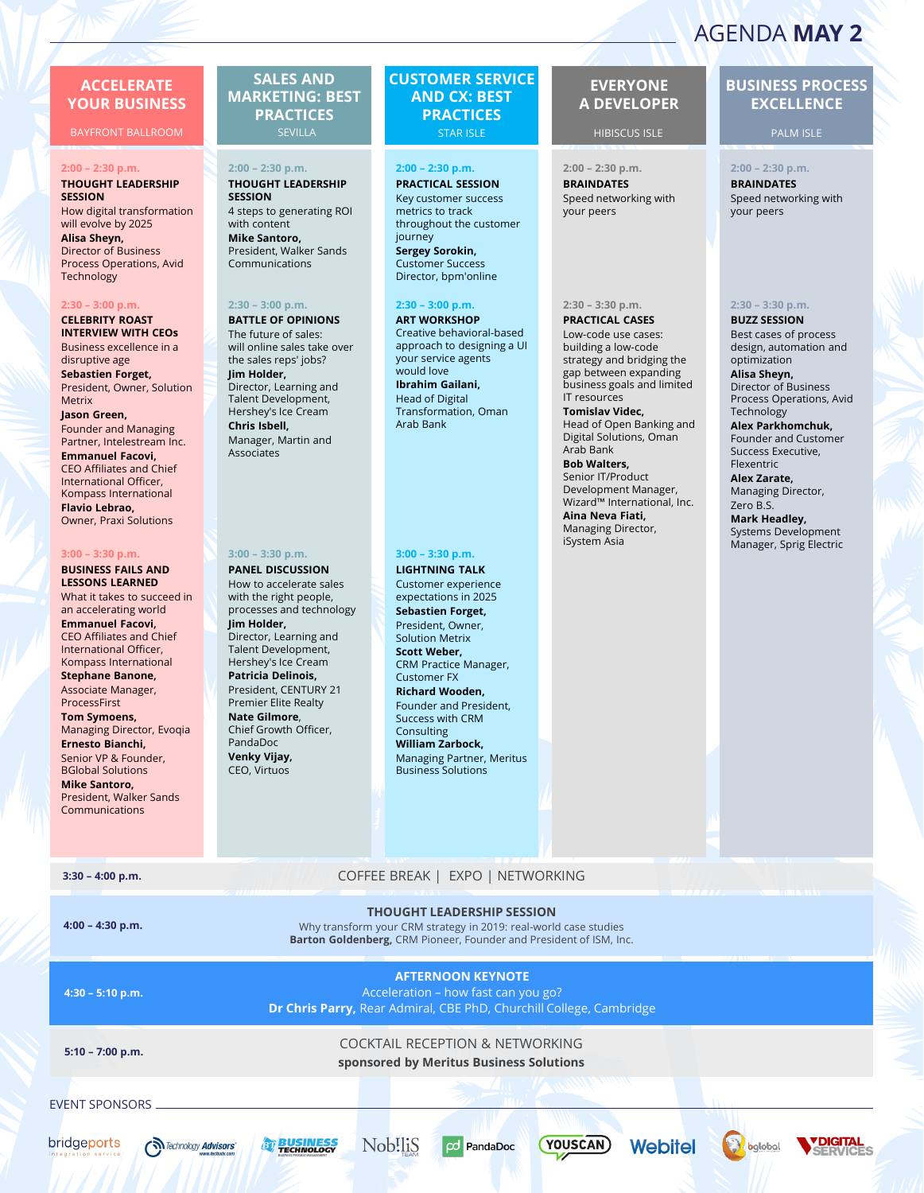# **ACCELERATE YOUR BUSINESS**

BAYFRONT BALLROOM SEVILLA

### **2:00 – 2:30 p.m.**

**THOUGHT LEADERSHIP SESSION** How digital transformation

will evolve by 2025 **Alisa Sheyn,**  Director of Business Process Operations, Avid Technology

# **2:30 – 3:00 p.m.**

**CELEBRITY ROAST INTERVIEW WITH CEOs** Business excellence in a

disruptive age **Sebastien Forget,**  President, Owner, Solution Metrix

**Jason Green,** Founder and Managing Partner, Intelestream Inc.

**Emmanuel Facovi,**  CEO Affiliates and Chief International Officer, Kompass International

**Flavio Lebrao,**  Owner, Praxi Solutions

# **3:00 – 3:30 p.m.**

# **BUSINESS FAILS AND LESSONS LEARNED**

What it takes to succeed in an accelerating world **Emmanuel Facovi,**  CEO Affiliates and Chief International Officer, Kompass International

**Stephane Banone,**  Associate Manager, ProcessFirst **Tom Symoens,**  Managing Director, Evoqia **Ernesto Bianchi,** 

Senior VP & Founder, BGlobal Solutions

**Mike Santoro,**  President, Walker Sands Communications

# **SALES AND MARKETING: BEST PRACTICES**

### **2:00 – 2:30 p.m.**

**THOUGHT LEADERSHIP SESSION** 4 steps to generating ROI with content **Mike Santoro,**  President, Walker Sands Communications

## **2:30 – 3:00 p.m.**

# **BATTLE OF OPINIONS**

The future of sales: will online sales take over the sales reps' jobs? **Jim Holder,**  Director, Learning and Talent Development, Hershey's Ice Cream **Chris Isbell,**  Manager, Martin and Associates

PandaDoc **Venky Vijay,**  **CUSTOMER SERVICE AND CX: BEST PRACTICES**

# **2:00 – 2:30 p.m.**

**PRACTICAL SESSION** Key customer success metrics to track throughout the customer iourney **Sergey Sorokin,**  Customer Success Director, bpm'online

**2:30 – 3:00 p.m.**

# **ART WORKSHOP** Creative behavioral-based approach to designing a UI your service agents would love

**Ibrahim Gailani,**  Head of Digital Transformation, Oman Arab Bank

# **3:00 – 3:30 p.m.**

# **LIGHTNING TALK** Customer experience

expectations in 2025 **Sebastien Forget,**  President, Owner, Solution Metrix **Scott Weber,** 

CRM Practice Manager, Customer FX

**Richard Wooden,**  Founder and President, Success with CRM

**William Zarbock,** 

Managing Partner, Meritus Business Solutions

# **EVERYONE A DEVELOPER**

**STAR ISLE STAR ISLE HIBISCUS ISLE HIBISCUS ISLE** 

**2:00 – 2:30 p.m. BRAINDATES** Speed networking with your peers

# **2:30 – 3:30 p.m. 2:30 – 3:30 p.m.**

**PRACTICAL CASES** Low-code use cases: building a low-code strategy and bridging the gap between expanding business goals and limited IT resources

**Tomislav Videc,**  Head of Open Banking and Digital Solutions, Oman Arab Bank

**Bob Walters,** Senior IT/Product Development Manager, Wizard™ International, Inc.

**Aina Neva Fiati,**  Managing Director, iSystem Asia

# **BUSINESS PROCESS EXCELLENCE**

AGENDA **MAY 2**

**2:00 – 2:30 p.m.**

**BRAINDATES** Speed networking with your peers

# **BUZZ SESSION**

Best cases of process design, automation and optimization **Alisa Sheyn,**  Director of Business Process Operations, Avid

Technology **Alex Parkhomchuk,**

Founder and Customer Success Executive, Flexentric

**Alex Zarate,**  Managing Director,

Zero B.S. **Mark Headley,**  Systems Development Manager, Sprig Electric

**3:30 – 4:00 p.m.** COFFEE BREAK | EXPO | NETWORKING

# **THOUGHT LEADERSHIP SESSION**

Why transform your CRM strategy in 2019: real-world case studies **Barton Goldenberg,** CRM Pioneer, Founder and President of ISM, Inc.

# **AFTERNOON KEYNOTE**

**4:30 – 5:10 p.m.**

**4:00 – 4:30 p.m.**

Acceleration – how fast can you go? **Dr Chris Parry,** Rear Admiral, CBE PhD, Churchill College, Cambridge

# **5:10 – 7:00 p.m.** COCKTAIL RECEPTION & NETWORKING **sponsored by Meritus Business Solutions**

EVENT SPONSORS







YOUSCAN) CO PandaDoc

**Webitel** 

bglobal



**Consulting** 

**3:00 – 3:30 p.m. PANEL DISCUSSION** How to accelerate sales

with the right people, processes and technology **Jim Holder,**  Director, Learning and Talent Development, Hershey's Ice Cream **Patricia Delinois,**  President, CENTURY 21

Premier Elite Realty **Nate Gilmore**, Chief Growth Officer,

# CEO, Virtuos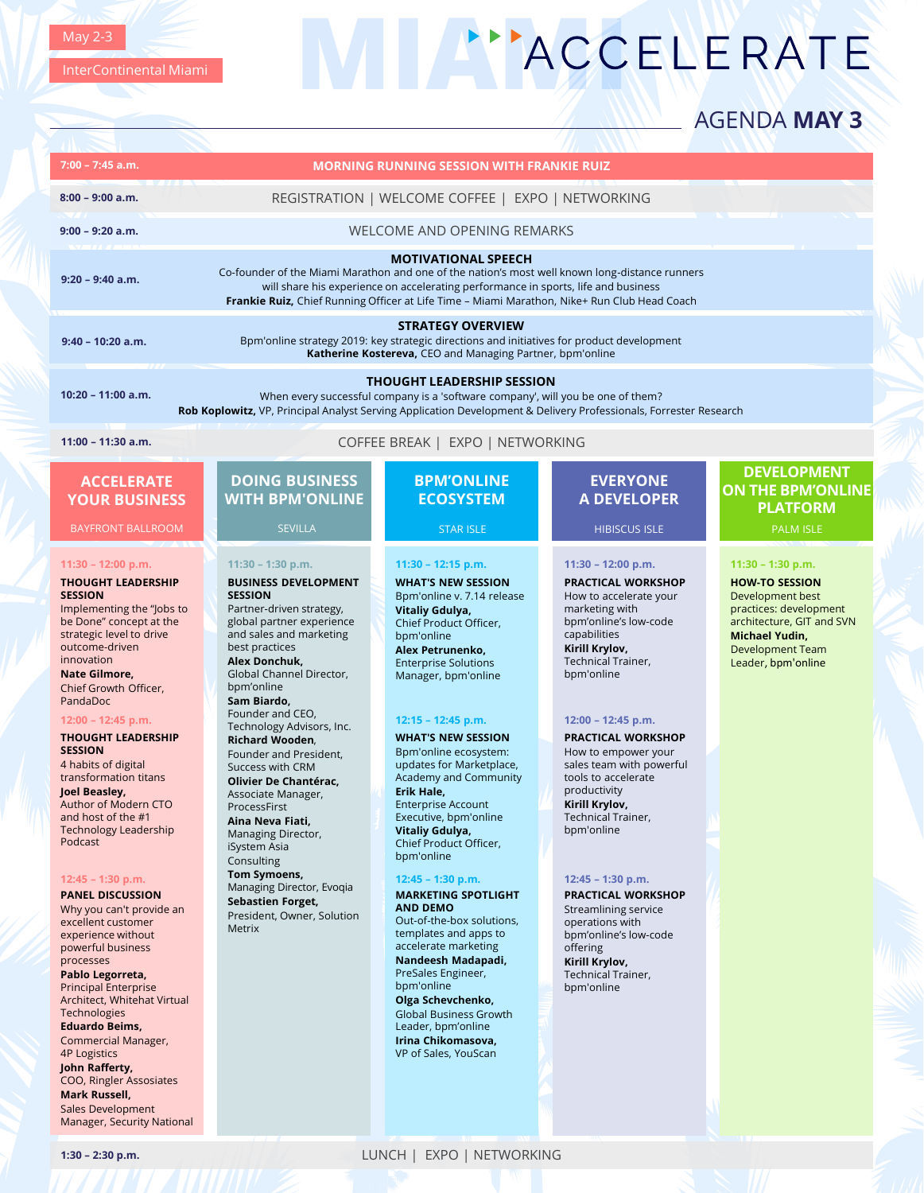May 2-3

# ACCELERATE

# AGENDA **MAY 3**

| REGISTRATION   WELCOME COFFEE   EXPO   NETWORKING                                                                                                                                                                                                                                                                                                                                                                                                                                                                                                                                                                       |                                                                                                                                                                                                                                                                                                                                                                                                                                                                                                                                                                                                                                                                                                                                                                                                                                  |                                                                                                                                                                                                                                                                                                                                                                                                                                                                                                                                                                                             |                                                                                                                                                                                            |  |  |
|-------------------------------------------------------------------------------------------------------------------------------------------------------------------------------------------------------------------------------------------------------------------------------------------------------------------------------------------------------------------------------------------------------------------------------------------------------------------------------------------------------------------------------------------------------------------------------------------------------------------------|----------------------------------------------------------------------------------------------------------------------------------------------------------------------------------------------------------------------------------------------------------------------------------------------------------------------------------------------------------------------------------------------------------------------------------------------------------------------------------------------------------------------------------------------------------------------------------------------------------------------------------------------------------------------------------------------------------------------------------------------------------------------------------------------------------------------------------|---------------------------------------------------------------------------------------------------------------------------------------------------------------------------------------------------------------------------------------------------------------------------------------------------------------------------------------------------------------------------------------------------------------------------------------------------------------------------------------------------------------------------------------------------------------------------------------------|--------------------------------------------------------------------------------------------------------------------------------------------------------------------------------------------|--|--|
| <b>WELCOME AND OPENING REMARKS</b>                                                                                                                                                                                                                                                                                                                                                                                                                                                                                                                                                                                      |                                                                                                                                                                                                                                                                                                                                                                                                                                                                                                                                                                                                                                                                                                                                                                                                                                  |                                                                                                                                                                                                                                                                                                                                                                                                                                                                                                                                                                                             |                                                                                                                                                                                            |  |  |
| <b>MOTIVATIONAL SPEECH</b><br>Co-founder of the Miami Marathon and one of the nation's most well known long-distance runners<br>will share his experience on accelerating performance in sports, life and business<br>Frankie Ruiz, Chief Running Officer at Life Time - Miami Marathon, Nike+ Run Club Head Coach                                                                                                                                                                                                                                                                                                      |                                                                                                                                                                                                                                                                                                                                                                                                                                                                                                                                                                                                                                                                                                                                                                                                                                  |                                                                                                                                                                                                                                                                                                                                                                                                                                                                                                                                                                                             |                                                                                                                                                                                            |  |  |
| <b>STRATEGY OVERVIEW</b><br>Bpm'online strategy 2019: key strategic directions and initiatives for product development<br>Katherine Kostereva, CEO and Managing Partner, bpm'online                                                                                                                                                                                                                                                                                                                                                                                                                                     |                                                                                                                                                                                                                                                                                                                                                                                                                                                                                                                                                                                                                                                                                                                                                                                                                                  |                                                                                                                                                                                                                                                                                                                                                                                                                                                                                                                                                                                             |                                                                                                                                                                                            |  |  |
| <b>THOUGHT LEADERSHIP SESSION</b><br>$10:20 - 11:00$ a.m.<br>When every successful company is a 'software company', will you be one of them?<br>Rob Koplowitz, VP, Principal Analyst Serving Application Development & Delivery Professionals, Forrester Research                                                                                                                                                                                                                                                                                                                                                       |                                                                                                                                                                                                                                                                                                                                                                                                                                                                                                                                                                                                                                                                                                                                                                                                                                  |                                                                                                                                                                                                                                                                                                                                                                                                                                                                                                                                                                                             |                                                                                                                                                                                            |  |  |
|                                                                                                                                                                                                                                                                                                                                                                                                                                                                                                                                                                                                                         |                                                                                                                                                                                                                                                                                                                                                                                                                                                                                                                                                                                                                                                                                                                                                                                                                                  |                                                                                                                                                                                                                                                                                                                                                                                                                                                                                                                                                                                             |                                                                                                                                                                                            |  |  |
| <b>DOING BUSINESS</b><br><b>WITH BPM'ONLINE</b>                                                                                                                                                                                                                                                                                                                                                                                                                                                                                                                                                                         | <b>BPM'ONLINE</b><br><b>ECOSYSTEM</b>                                                                                                                                                                                                                                                                                                                                                                                                                                                                                                                                                                                                                                                                                                                                                                                            | <b>EVERYONE</b><br><b>A DEVELOPER</b>                                                                                                                                                                                                                                                                                                                                                                                                                                                                                                                                                       | <b>DEVELOPMENT</b><br><b>ON THE BPM'ONLINE</b><br><b>PLATFORM</b>                                                                                                                          |  |  |
| <b>SEVILLA</b>                                                                                                                                                                                                                                                                                                                                                                                                                                                                                                                                                                                                          | <b>STAR ISLE</b>                                                                                                                                                                                                                                                                                                                                                                                                                                                                                                                                                                                                                                                                                                                                                                                                                 | <b>HIBISCUS ISLE</b>                                                                                                                                                                                                                                                                                                                                                                                                                                                                                                                                                                        | <b>PALM ISLE</b>                                                                                                                                                                           |  |  |
| $11:30 - 1:30 p.m.$<br><b>BUSINESS DEVELOPMENT</b><br><b>SESSION</b><br>Partner-driven strategy,<br>global partner experience<br>and sales and marketing<br>best practices<br>Alex Donchuk,<br>Global Channel Director,<br>bpm'online<br>Sam Biardo,<br>Founder and CEO,<br>Technology Advisors, Inc.<br>Richard Wooden,<br>Founder and President.<br>Success with CRM<br>Olivier De Chantérac,<br>Associate Manager,<br>ProcessFirst<br>Aina Neva Fiati,<br>Managing Director,<br>iSystem Asia<br>Consulting<br>Tom Symoens,<br>Managing Director, Evogia<br>Sebastien Forget,<br>President, Owner, Solution<br>Metrix | $11:30 - 12:15 p.m.$<br><b>WHAT'S NEW SESSION</b><br>Bpm'online v. 7.14 release<br>Vitaliy Gdulya,<br>Chief Product Officer,<br>bpm'online<br>Alex Petrunenko,<br><b>Enterprise Solutions</b><br>Manager, bpm'online<br>$12:15 - 12:45$ p.m.<br><b>WHAT'S NEW SESSION</b><br>Bpm'online ecosystem:<br>updates for Marketplace,<br>Academy and Community<br>Erik Hale,<br><b>Enterprise Account</b><br>Executive, bpm'online<br>Vitaliy Gdulya,<br>Chief Product Officer,<br>bpm'online<br>$12:45 - 1:30$ p.m.<br><b>MARKETING SPOTLIGHT</b><br><b>AND DEMO</b><br>Out-of-the-box solutions,<br>templates and apps to<br>accelerate marketing<br>Nandeesh Madapadi,<br>PreSales Engineer,<br>bpm'online<br>Olga Schevchenko,<br><b>Global Business Growth</b><br>Leader, bpm'online<br>Irina Chikomasova,<br>VP of Sales, YouScan | $11:30 - 12:00 p.m.$<br><b>PRACTICAL WORKSHOP</b><br>How to accelerate your<br>marketing with<br>bpm'online's low-code<br>capabilities<br>Kirill Krylov,<br>Technical Trainer,<br>bpm'online<br>$12:00 - 12:45 p.m.$<br><b>PRACTICAL WORKSHOP</b><br>How to empower your<br>sales team with powerful<br>tools to accelerate<br>productivity<br>Kirill Krylov,<br>Technical Trainer,<br>bpm'online<br>$12:45 - 1:30$ p.m.<br><b>PRACTICAL WORKSHOP</b><br>Streamlining service<br>operations with<br>bpm'online's low-code<br>offering<br>Kirill Krylov,<br>Technical Trainer,<br>bpm'online | $11:30 - 1:30$ p.m.<br><b>HOW-TO SESSION</b><br>Development best<br>practices: development<br>architecture, GIT and SVN<br>Michael Yudin,<br><b>Development Team</b><br>Leader, bpm'online |  |  |
|                                                                                                                                                                                                                                                                                                                                                                                                                                                                                                                                                                                                                         |                                                                                                                                                                                                                                                                                                                                                                                                                                                                                                                                                                                                                                                                                                                                                                                                                                  |                                                                                                                                                                                                                                                                                                                                                                                                                                                                                                                                                                                             | <b>MORNING RUNNING SESSION WITH FRANKIE RUIZ</b><br>COFFEE BREAK   EXPO   NETWORKING                                                                                                       |  |  |

Manager, Security National

**1:30 – 2:30 p.m.** LUNCH | EXPO | NETWORKING